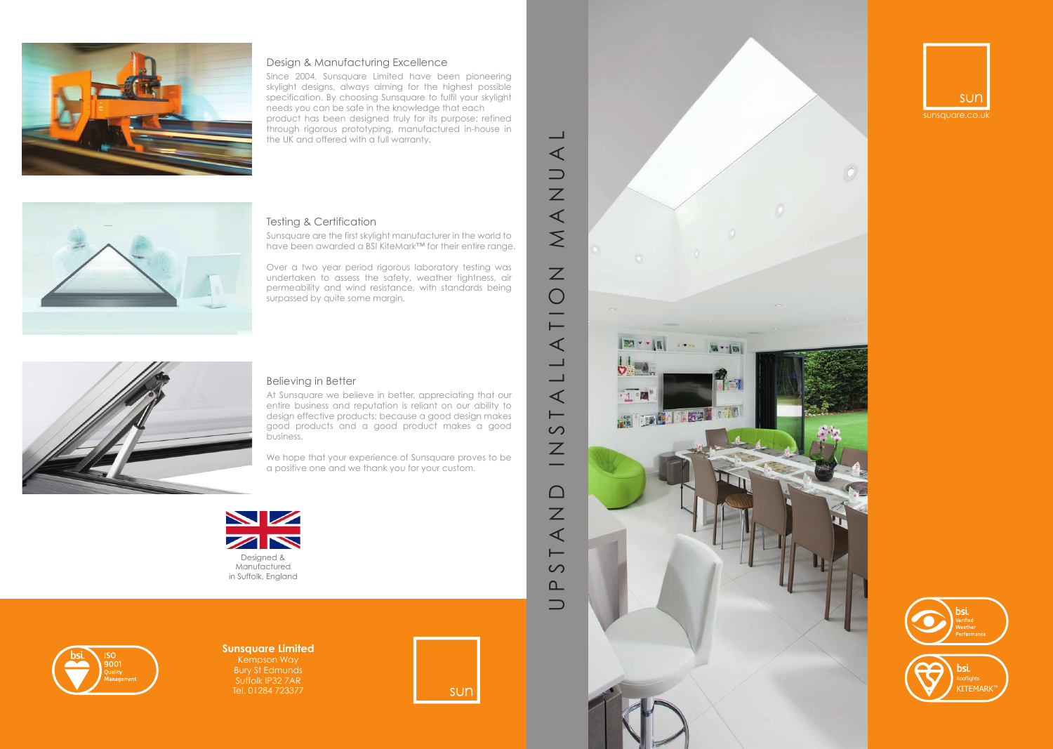



#### **Sunsquare Limited** Kempson Way Bury St Edmunds Suffolk IP32 7AR

Tel. 01284 723377









## Design & Manufacturing Excellence

Since 2004, Sunsquare Limited have been pioneering skylight designs, always aiming for the highest possible specification. By choosing Sunsquare to fulfil your skylight needs you can be safe in the knowledge that each product has been designed truly for its purpose; refined through rigorous prototyping, manufactured in-house in the UK and offered with a full warranty.



## Testing & Certification

Sunsquare are the first skylight manufacturer in the world to have been awarded a BSI KiteMark™ for their entire range.

Over a two year period rigorous laboratory testing was undertaken to assess the safety, weather tightness, air permeability and wind resistance, with standards being surpassed by quite some margin.



## Believing in Better

At Sunsquare we believe in better, appreciating that our entire business and reputation is reliant on our ability to design effective products; because a good design makes good products and a good product makes a good business.

We hope that your experience of Sunsquare proves to be a positive one and we thank you for your custom.